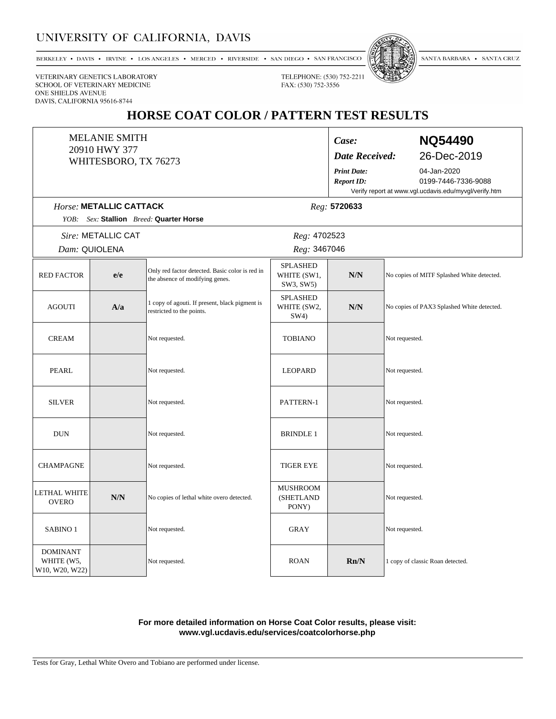### UNIVERSITY OF CALIFORNIA, DAVIS

BERKELEY • DAVIS • IRVINE • LOS ANGELES • MERCED • RIVERSIDE • SAN DIEGO • SAN FRANCISCO



SANTA BARBARA • SANTA CRUZ

VETERINARY GENETICS LABORATORY SCHOOL OF VETERINARY MEDICINE ONE SHIELDS AVENUE DAVIS, CALIFORNIA 95616-8744

## HORSE COAT COLOR / PATTERN TEST RESULTS

TELEPHONE: (530) 752-2211

FAX: (530) 752-3556

|                                                 | <b>MELANIE SMITH</b><br>20910 HWY 377<br>WHITESBORO, TX 76273 |                                                                                    | Case:<br><b>Date Received:</b><br><b>Print Date:</b><br><b>Report ID:</b> | <b>NQ54490</b><br>26-Dec-2019<br>04-Jan-2020<br>0199-7446-7336-9088<br>Verify report at www.vgl.ucdavis.edu/myvgl/verify.htm |                                            |  |  |
|-------------------------------------------------|---------------------------------------------------------------|------------------------------------------------------------------------------------|---------------------------------------------------------------------------|------------------------------------------------------------------------------------------------------------------------------|--------------------------------------------|--|--|
|                                                 | Horse: METALLIC CATTACK                                       |                                                                                    |                                                                           | Reg: 5720633                                                                                                                 |                                            |  |  |
| YOB:                                            |                                                               | Sex: Stallion Breed: Quarter Horse                                                 |                                                                           |                                                                                                                              |                                            |  |  |
|                                                 | Sire: METALLIC CAT<br>Dam: QUIOLENA                           | Reg: 4702523<br>Reg: 3467046                                                       |                                                                           |                                                                                                                              |                                            |  |  |
| <b>RED FACTOR</b>                               | e/e                                                           | Only red factor detected. Basic color is red in<br>the absence of modifying genes. | <b>SPLASHED</b><br>WHITE (SW1,<br>SW3, SW5)                               | N/N                                                                                                                          | No copies of MITF Splashed White detected. |  |  |
| <b>AGOUTI</b>                                   | A/a                                                           | 1 copy of agouti. If present, black pigment is<br>restricted to the points.        | <b>SPLASHED</b><br>WHITE (SW2,<br>SW4)                                    | $N/N$                                                                                                                        | No copies of PAX3 Splashed White detected. |  |  |
| <b>CREAM</b>                                    |                                                               | Not requested.                                                                     | <b>TOBIANO</b>                                                            |                                                                                                                              | Not requested.                             |  |  |
| <b>PEARL</b>                                    |                                                               | Not requested.                                                                     | <b>LEOPARD</b>                                                            |                                                                                                                              | Not requested.                             |  |  |
| <b>SILVER</b>                                   |                                                               | Not requested.                                                                     | PATTERN-1                                                                 |                                                                                                                              | Not requested.                             |  |  |
| <b>DUN</b>                                      |                                                               | Not requested.                                                                     | <b>BRINDLE 1</b>                                                          |                                                                                                                              | Not requested.                             |  |  |
| <b>CHAMPAGNE</b>                                |                                                               | Not requested.                                                                     | <b>TIGER EYE</b>                                                          |                                                                                                                              | Not requested.                             |  |  |
| LETHAL WHITE<br><b>OVERO</b>                    | N/N                                                           | No copies of lethal white overo detected.                                          | <b>MUSHROOM</b><br>(SHETLAND<br>PONY)                                     |                                                                                                                              | Not requested.                             |  |  |
| SABINO <sub>1</sub>                             |                                                               | Not requested.                                                                     | <b>GRAY</b>                                                               |                                                                                                                              | Not requested.                             |  |  |
| <b>DOMINANT</b><br>WHITE (W5,<br>W10, W20, W22) |                                                               | Not requested.                                                                     | <b>ROAN</b>                                                               | Rn/N                                                                                                                         | 1 copy of classic Roan detected.           |  |  |

#### For more detailed information on Horse Coat Color results, please visit: www.vgl.ucdavis.edu/services/coatcolorhorse.php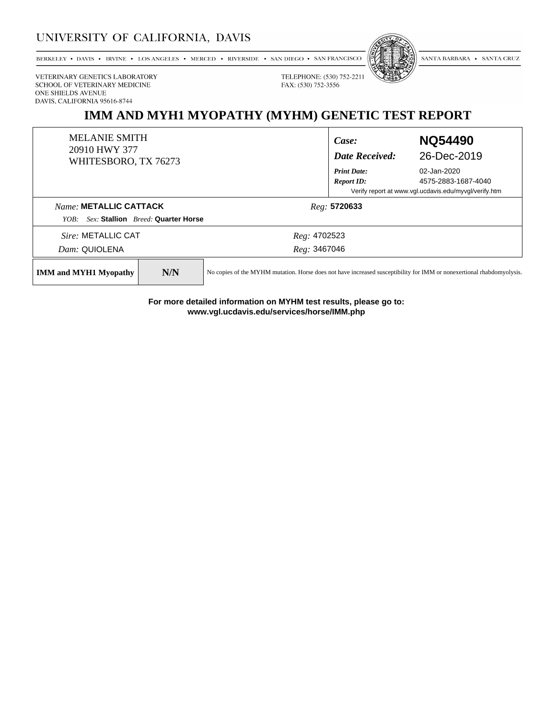### UNIVERSITY OF CALIFORNIA, DAVIS

BERKELEY • DAVIS • IRVINE • LOS ANGELES • MERCED • RIVERSIDE • SAN DIEGO • SAN FRANCISCO



SANTA BARBARA • SANTA CRUZ

VETERINARY GENETICS LABORATORY SCHOOL OF VETERINARY MEDICINE ONE SHIELDS AVENUE DAVIS, CALIFORNIA 95616-8744

# IMM AND MYH1 MYOPATHY (MYHM) GENETIC TEST REPORT

TELEPHONE: (530) 752-2211

FAX: (530) 752-3556

| <b>MELANIE SMITH</b><br>20910 HWY 377<br>WHITESBORO, TX 76273 |                                    | Case:<br><b>Date Received:</b>                                                                                        | <b>NQ54490</b><br>26-Dec-2019      |  |
|---------------------------------------------------------------|------------------------------------|-----------------------------------------------------------------------------------------------------------------------|------------------------------------|--|
|                                                               |                                    | <b>Print Date:</b><br><b>Report ID:</b>                                                                               | 02-Jan-2020<br>4575-2883-1687-4040 |  |
|                                                               |                                    | Verify report at www.vgl.ucdavis.edu/myvgl/verify.htm                                                                 |                                    |  |
| Name: METALLIC CATTACK<br>YOB:                                | Sex: Stallion Breed: Quarter Horse | Reg: 5720633                                                                                                          |                                    |  |
| Sire: METALLIC CAT                                            |                                    | Reg: 4702523                                                                                                          |                                    |  |
| Dam: QUIOLENA                                                 |                                    | Reg: 3467046                                                                                                          |                                    |  |
| <b>IMM and MYH1 Myopathy</b>                                  | N/N                                | No copies of the MYHM mutation. Horse does not have increased susceptibility for IMM or nonexertional rhabdomyolysis. |                                    |  |

For more detailed information on MYHM test results, please go to: www.vgl.ucdavis.edu/services/horse/IMM.php